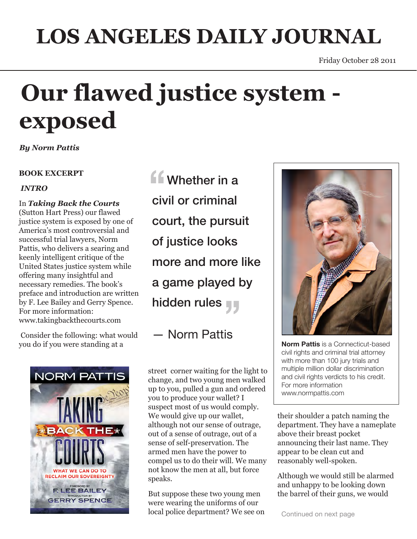## **LOS ANGELES DAILY JOURNAL**

# **Our flawed justice system exposed**

*By Norm Pattis*

#### **BOOK EXCERPT**

#### *INTRO*

In *Taking Back the Courts* (Sutton Hart Press) our flawed justice system is exposed by one of America's most controversial and successful trial lawyers, Norm Pattis, who delivers a searing and keenly intelligent critique of the United States justice system while offering many insightful and necessary remedies. The book's preface and introduction are written by F. Lee Bailey and Gerry Spence. For more information: www.takingbackthecourts.com

 Consider the following: what would you do if you were standing at a



**ff** Whether in a civil or criminal court, the pursuit of justice looks more and more like a game played by hidden rules

### — Norm Pattis

street corner waiting for the light to change, and two young men walked up to you, pulled a gun and ordered you to produce your wallet? I suspect most of us would comply. We would give up our wallet, although not our sense of outrage, out of a sense of outrage, out of a sense of self-preservation. The armed men have the power to compel us to do their will. We many not know the men at all, but force speaks.

But suppose these two young men were wearing the uniforms of our local police department? We see on



**Norm Pattis** is a Connecticut-based civil rights and criminal trial attorney with more than 100 jury trials and multiple million dollar discrimination and civil rights verdicts to his credit. For more information www.normpattis.com

their shoulder a patch naming the department. They have a nameplate above their breast pocket announcing their last name. They appear to be clean cut and reasonably well-spoken.

Although we would still be alarmed and unhappy to be looking down the barrel of their guns, we would